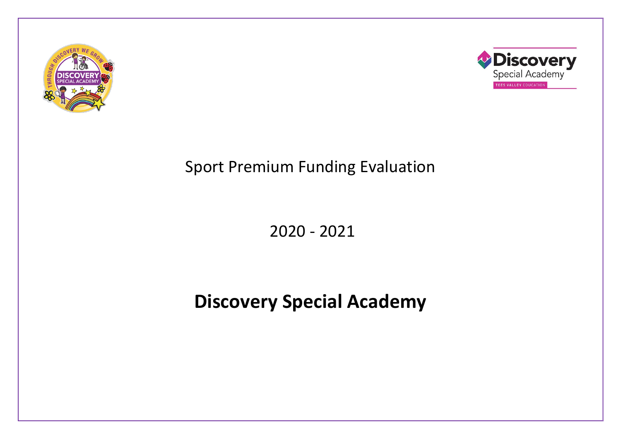



# Sport Premium Funding Evaluation

2020 - 2021

# **Discovery Special Academy**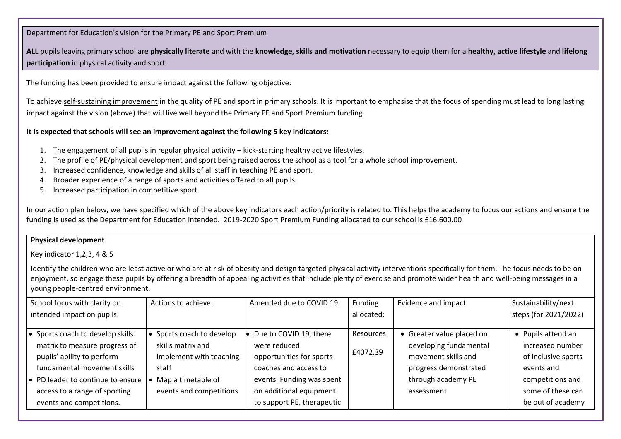#### Department for Education's vision for the Primary PE and Sport Premium

**ALL** pupils leaving primary school are **physically literate** and with the **knowledge, skills and motivation** necessary to equip them for a **healthy, active lifestyle** and **lifelong participation** in physical activity and sport.

The funding has been provided to ensure impact against the following objective:

To achieve self-sustaining improvement in the quality of PE and sport in primary schools. It is important to emphasise that the focus of spending must lead to long lasting impact against the vision (above) that will live well beyond the Primary PE and Sport Premium funding.

#### **It is expected that schools will see an improvement against the following 5 key indicators:**

- 1. The engagement of all pupils in regular physical activity kick-starting healthy active lifestyles.
- 2. The profile of PE/physical development and sport being raised across the school as a tool for a whole school improvement.
- 3. Increased confidence, knowledge and skills of all staff in teaching PE and sport.
- 4. Broader experience of a range of sports and activities offered to all pupils.
- 5. Increased participation in competitive sport.

In our action plan below, we have specified which of the above key indicators each action/priority is related to. This helps the academy to focus our actions and ensure the funding is used as the Department for Education intended. 2019-2020 Sport Premium Funding allocated to our school is £16,600.00

## **Physical development**

Key indicator 1,2,3, 4 & 5

Identify the children who are least active or who are at risk of obesity and design targeted physical activity interventions specifically for them. The focus needs to be on enjoyment, so engage these pupils by offering a breadth of appealing activities that include plenty of exercise and promote wider health and well-being messages in a young people-centred environment.

| School focus with clarity on              | Actions to achieve:     | Amended due to COVID 19:   | Funding          | Evidence and impact       | Sustainability/next   |
|-------------------------------------------|-------------------------|----------------------------|------------------|---------------------------|-----------------------|
| intended impact on pupils:                |                         |                            | allocated:       |                           | steps (for 2021/2022) |
|                                           |                         |                            |                  |                           |                       |
| Sports coach to develop skills            | Sports coach to develop | Due to COVID 19, there     | <b>Resources</b> | • Greater value placed on | • Pupils attend an    |
| matrix to measure progress of             | skills matrix and       | were reduced               |                  | developing fundamental    | increased number      |
| pupils' ability to perform                | implement with teaching | opportunities for sports   | £4072.39         | movement skills and       | of inclusive sports   |
| fundamental movement skills               | staff                   | coaches and access to      |                  | progress demonstrated     | events and            |
| $\bullet$ PD leader to continue to ensure | Map a timetable of      | events. Funding was spent  |                  | through academy PE        | competitions and      |
| access to a range of sporting             | events and competitions | on additional equipment    |                  | assessment                | some of these can     |
| events and competitions.                  |                         | to support PE, therapeutic |                  |                           | be out of academy     |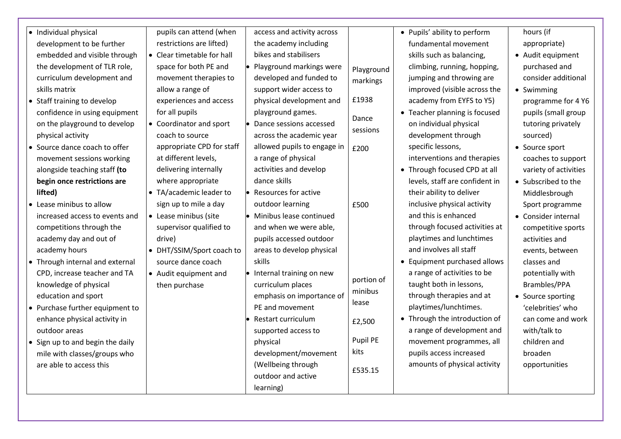| • Individual physical            | pupils can attend (when    | access and activity across         |                   | • Pupils' ability to perform   | hours (if             |
|----------------------------------|----------------------------|------------------------------------|-------------------|--------------------------------|-----------------------|
| development to be further        | restrictions are lifted)   | the academy including              |                   | fundamental movement           | appropriate)          |
| embedded and visible through     | • Clear timetable for hall | bikes and stabilisers              |                   | skills such as balancing,      | • Audit equipment     |
| the development of TLR role,     | space for both PE and      | • Playground markings were         | Playground        | climbing, running, hopping,    | purchased and         |
| curriculum development and       | movement therapies to      | developed and funded to            | markings          | jumping and throwing are       | consider additional   |
| skills matrix                    | allow a range of           | support wider access to            |                   | improved (visible across the   | • Swimming            |
| • Staff training to develop      | experiences and access     | physical development and           | £1938             | academy from EYFS to Y5)       | programme for 4 Y6    |
| confidence in using equipment    | for all pupils             | playground games.                  |                   | • Teacher planning is focused  | pupils (small group   |
| on the playground to develop     | • Coordinator and sport    | Dance sessions accessed            | Dance<br>sessions | on individual physical         | tutoring privately    |
| physical activity                | coach to source            | across the academic year           |                   | development through            | sourced)              |
| • Source dance coach to offer    | appropriate CPD for staff  | allowed pupils to engage in        | £200              | specific lessons,              | • Source sport        |
| movement sessions working        | at different levels,       | a range of physical                |                   | interventions and therapies    | coaches to support    |
| alongside teaching staff (to     | delivering internally      | activities and develop             |                   | • Through focused CPD at all   | variety of activities |
| begin once restrictions are      | where appropriate          | dance skills                       |                   | levels, staff are confident in | • Subscribed to the   |
| lifted)                          | • TA/academic leader to    | $\bullet$ Resources for active     |                   | their ability to deliver       | Middlesbrough         |
| • Lease minibus to allow         | sign up to mile a day      | outdoor learning                   | £500              | inclusive physical activity    | Sport programme       |
| increased access to events and   | • Lease minibus (site      | • Minibus lease continued          |                   | and this is enhanced           | • Consider internal   |
| competitions through the         | supervisor qualified to    | and when we were able,             |                   | through focused activities at  | competitive sports    |
| academy day and out of           | drive)                     | pupils accessed outdoor            |                   | playtimes and lunchtimes       | activities and        |
| academy hours                    | • DHT/SSIM/Sport coach to  | areas to develop physical          |                   | and involves all staff         | events, between       |
| • Through internal and external  | source dance coach         | skills                             |                   | Equipment purchased allows     | classes and           |
| CPD, increase teacher and TA     | • Audit equipment and      | $\bullet$ Internal training on new |                   | a range of activities to be    | potentially with      |
| knowledge of physical            | then purchase              | curriculum places                  | portion of        | taught both in lessons,        | Brambles/PPA          |
| education and sport              |                            | emphasis on importance of          | minibus           | through therapies and at       | • Source sporting     |
| • Purchase further equipment to  |                            | PE and movement                    | lease             | playtimes/lunchtimes.          | 'celebrities' who     |
| enhance physical activity in     |                            | Restart curriculum                 | £2,500            | Through the introduction of    | can come and work     |
| outdoor areas                    |                            | supported access to                |                   | a range of development and     | with/talk to          |
| • Sign up to and begin the daily |                            | physical                           | Pupil PE          | movement programmes, all       | children and          |
| mile with classes/groups who     |                            | development/movement               | kits              | pupils access increased        | broaden               |
| are able to access this          |                            | (Wellbeing through                 | £535.15           | amounts of physical activity   | opportunities         |
|                                  |                            | outdoor and active                 |                   |                                |                       |
|                                  |                            | learning)                          |                   |                                |                       |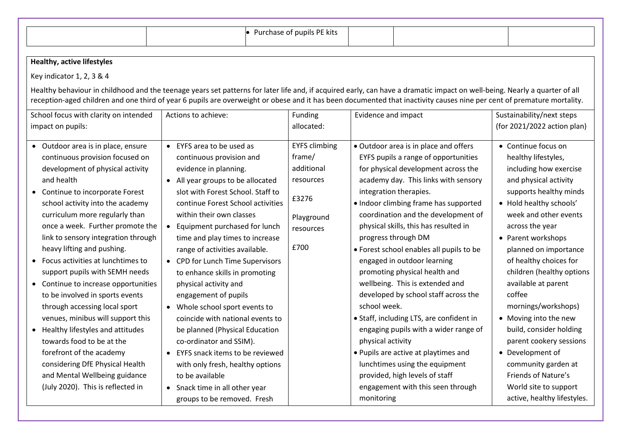|                                                                                                      |                                                                                               | • Purchase of pupils PE kits   |                                                                                                                                                                                                                                                                                                                                                      |                                                                             |  |  |  |
|------------------------------------------------------------------------------------------------------|-----------------------------------------------------------------------------------------------|--------------------------------|------------------------------------------------------------------------------------------------------------------------------------------------------------------------------------------------------------------------------------------------------------------------------------------------------------------------------------------------------|-----------------------------------------------------------------------------|--|--|--|
| <b>Healthy, active lifestyles</b>                                                                    |                                                                                               |                                |                                                                                                                                                                                                                                                                                                                                                      |                                                                             |  |  |  |
| Key indicator 1, 2, 3 & 4                                                                            |                                                                                               |                                |                                                                                                                                                                                                                                                                                                                                                      |                                                                             |  |  |  |
|                                                                                                      |                                                                                               |                                |                                                                                                                                                                                                                                                                                                                                                      |                                                                             |  |  |  |
|                                                                                                      |                                                                                               |                                | Healthy behaviour in childhood and the teenage years set patterns for later life and, if acquired early, can have a dramatic impact on well-being. Nearly a quarter of all<br>reception-aged children and one third of year 6 pupils are overweight or obese and it has been documented that inactivity causes nine per cent of premature mortality. |                                                                             |  |  |  |
| School focus with clarity on intended                                                                | Actions to achieve:                                                                           | Funding                        | Evidence and impact                                                                                                                                                                                                                                                                                                                                  | Sustainability/next steps                                                   |  |  |  |
| impact on pupils:                                                                                    |                                                                                               | allocated:                     |                                                                                                                                                                                                                                                                                                                                                      | (for 2021/2022 action plan)                                                 |  |  |  |
| • Outdoor area is in place, ensure<br>continuous provision focused on                                | • EYFS area to be used as<br>continuous provision and                                         | <b>EYFS climbing</b><br>frame/ | • Outdoor area is in place and offers<br>EYFS pupils a range of opportunities                                                                                                                                                                                                                                                                        | • Continue focus on<br>healthy lifestyles,                                  |  |  |  |
| development of physical activity<br>and health                                                       | evidence in planning.<br>• All year groups to be allocated                                    | additional<br>resources        | for physical development across the<br>academy day. This links with sensory                                                                                                                                                                                                                                                                          | including how exercise<br>and physical activity                             |  |  |  |
| Continue to incorporate Forest<br>$\bullet$<br>school activity into the academy                      | slot with Forest School. Staff to<br>continue Forest School activities                        | £3276                          | integration therapies.<br>• Indoor climbing frame has supported                                                                                                                                                                                                                                                                                      | supports healthy minds<br>• Hold healthy schools'                           |  |  |  |
| curriculum more regularly than<br>once a week. Further promote the                                   | within their own classes<br>Equipment purchased for lunch<br>$\bullet$                        | Playground<br>resources        | coordination and the development of<br>physical skills, this has resulted in                                                                                                                                                                                                                                                                         | week and other events<br>across the year                                    |  |  |  |
| link to sensory integration through<br>heavy lifting and pushing.                                    | time and play times to increase<br>range of activities available.                             | £700                           | progress through DM<br>• Forest school enables all pupils to be                                                                                                                                                                                                                                                                                      | • Parent workshops<br>planned on importance                                 |  |  |  |
| Focus activities at lunchtimes to<br>$\bullet$                                                       | • CPD for Lunch Time Supervisors                                                              |                                | engaged in outdoor learning                                                                                                                                                                                                                                                                                                                          | of healthy choices for                                                      |  |  |  |
| support pupils with SEMH needs<br>• Continue to increase opportunities                               | to enhance skills in promoting<br>physical activity and                                       |                                | promoting physical health and<br>wellbeing. This is extended and                                                                                                                                                                                                                                                                                     | children (healthy options<br>available at parent                            |  |  |  |
| to be involved in sports events                                                                      | engagement of pupils                                                                          |                                | developed by school staff across the                                                                                                                                                                                                                                                                                                                 | coffee                                                                      |  |  |  |
| through accessing local sport                                                                        | • Whole school sport events to                                                                |                                | school week.                                                                                                                                                                                                                                                                                                                                         | mornings/workshops)                                                         |  |  |  |
| venues, minibus will support this<br>• Healthy lifestyles and attitudes<br>towards food to be at the | coincide with national events to<br>be planned (Physical Education<br>co-ordinator and SSIM). |                                | • Staff, including LTS, are confident in<br>engaging pupils with a wider range of<br>physical activity                                                                                                                                                                                                                                               | • Moving into the new<br>build, consider holding<br>parent cookery sessions |  |  |  |
| forefront of the academy<br>considering DfE Physical Health                                          | EYFS snack items to be reviewed<br>with only fresh, healthy options                           |                                | • Pupils are active at playtimes and<br>lunchtimes using the equipment                                                                                                                                                                                                                                                                               | • Development of<br>community garden at                                     |  |  |  |
| and Mental Wellbeing guidance<br>(July 2020). This is reflected in                                   | to be available<br>• Snack time in all other year<br>groups to be removed. Fresh              |                                | provided, high levels of staff<br>engagement with this seen through<br>monitoring                                                                                                                                                                                                                                                                    | Friends of Nature's<br>World site to support<br>active, healthy lifestyles. |  |  |  |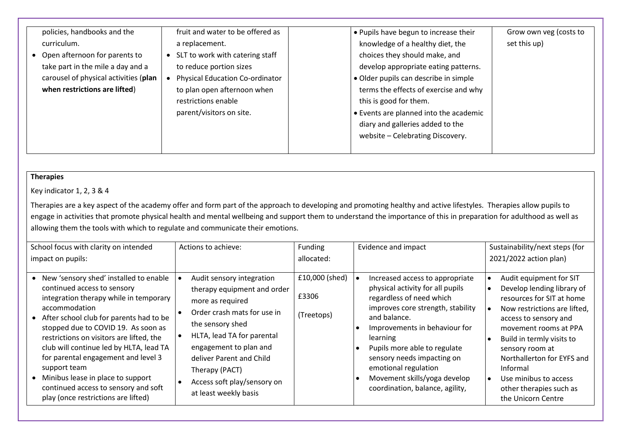| policies, handbooks and the<br>curriculum.<br>• Open afternoon for parents to<br>take part in the mile a day and a<br>carousel of physical activities (plan<br>when restrictions are lifted) | fruit and water to be offered as<br>a replacement.<br>SLT to work with catering staff<br>to reduce portion sizes<br><b>Physical Education Co-ordinator</b><br>to plan open afternoon when<br>restrictions enable<br>parent/visitors on site. | . Pupils have begun to increase their<br>knowledge of a healthy diet, the<br>choices they should make, and<br>develop appropriate eating patterns.<br>• Older pupils can describe in simple<br>terms the effects of exercise and why<br>this is good for them.<br>• Events are planned into the academic<br>diary and galleries added to the<br>website - Celebrating Discovery. | Grow own veg (costs to<br>set this up) |
|----------------------------------------------------------------------------------------------------------------------------------------------------------------------------------------------|----------------------------------------------------------------------------------------------------------------------------------------------------------------------------------------------------------------------------------------------|----------------------------------------------------------------------------------------------------------------------------------------------------------------------------------------------------------------------------------------------------------------------------------------------------------------------------------------------------------------------------------|----------------------------------------|
|----------------------------------------------------------------------------------------------------------------------------------------------------------------------------------------------|----------------------------------------------------------------------------------------------------------------------------------------------------------------------------------------------------------------------------------------------|----------------------------------------------------------------------------------------------------------------------------------------------------------------------------------------------------------------------------------------------------------------------------------------------------------------------------------------------------------------------------------|----------------------------------------|

## **Therapies**

Key indicator 1, 2, 3 & 4

Therapies are a key aspect of the academy offer and form part of the approach to developing and promoting healthy and active lifestyles. Therapies allow pupils to engage in activities that promote physical health and mental wellbeing and support them to understand the importance of this in preparation for adulthood as well as allowing them the tools with which to regulate and communicate their emotions.

| School focus with clarity on intended<br>impact on pupils:                                                                                                                                                                                                                                                                                                                                                                                                                             | Actions to achieve:                                                                                                                                                                                                                                                                           | Funding<br>allocated:                 | Evidence and impact                                                                                                                                                                                                                                                                                                                                        | Sustainability/next steps (for<br>2021/2022 action plan)                                                                                                                                                                                                                                                                                 |
|----------------------------------------------------------------------------------------------------------------------------------------------------------------------------------------------------------------------------------------------------------------------------------------------------------------------------------------------------------------------------------------------------------------------------------------------------------------------------------------|-----------------------------------------------------------------------------------------------------------------------------------------------------------------------------------------------------------------------------------------------------------------------------------------------|---------------------------------------|------------------------------------------------------------------------------------------------------------------------------------------------------------------------------------------------------------------------------------------------------------------------------------------------------------------------------------------------------------|------------------------------------------------------------------------------------------------------------------------------------------------------------------------------------------------------------------------------------------------------------------------------------------------------------------------------------------|
| • New 'sensory shed' installed to enable<br>continued access to sensory<br>integration therapy while in temporary<br>accommodation<br>After school club for parents had to be<br>stopped due to COVID 19. As soon as<br>restrictions on visitors are lifted, the<br>club will continue led by HLTA, lead TA<br>for parental engagement and level 3<br>support team<br>Minibus lease in place to support<br>continued access to sensory and soft<br>play (once restrictions are lifted) | Audit sensory integration<br>therapy equipment and order<br>more as required<br>Order crash mats for use in<br>the sensory shed<br>HLTA, lead TA for parental<br>engagement to plan and<br>deliver Parent and Child<br>Therapy (PACT)<br>Access soft play/sensory on<br>at least weekly basis | £10,000 (shed)<br>£3306<br>(Treetops) | Increased access to appropriate<br>physical activity for all pupils<br>regardless of need which<br>improves core strength, stability<br>and balance.<br>Improvements in behaviour for<br>learning<br>Pupils more able to regulate<br>sensory needs impacting on<br>emotional regulation<br>Movement skills/yoga develop<br>coordination, balance, agility, | Audit equipment for SIT<br>Develop lending library of<br>resources for SIT at home<br>Now restrictions are lifted,<br>access to sensory and<br>movement rooms at PPA<br>Build in termly visits to<br>sensory room at<br>Northallerton for EYFS and<br>Informal<br>Use minibus to access<br>other therapies such as<br>the Unicorn Centre |